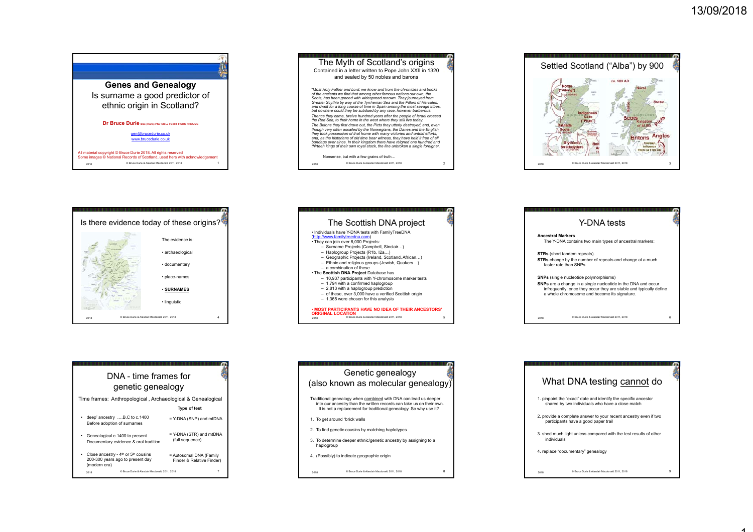





|      | Is there evidence today of these origins?     |  |
|------|-----------------------------------------------|--|
|      | The evidence is:                              |  |
|      | · archaeological                              |  |
|      | • documentary                                 |  |
|      | • place-names                                 |  |
|      | <b>· SURNAMES</b>                             |  |
|      | · linguistic                                  |  |
| 2018 | C Bruce Durie & Alasdair Macdonald 2011, 2018 |  |
|      |                                               |  |



|                          | Y-DNA tests                                                                                                                                                                         |  |
|--------------------------|-------------------------------------------------------------------------------------------------------------------------------------------------------------------------------------|--|
| <b>Ancestral Markers</b> | The Y-DNA contains two main types of ancestral markers:                                                                                                                             |  |
|                          | <b>STRs</b> (short tandem repeats).                                                                                                                                                 |  |
| faster rate than SNPs    | STRs change by the number of repeats and change at a much                                                                                                                           |  |
|                          | <b>SNPs</b> (single nucleotide polymorphisms)                                                                                                                                       |  |
|                          | SNPs are a change in a single nucleotide in the DNA and occur<br>infrequently; once they occur they are stable and typically define<br>a whole chromosome and become its signature. |  |
|                          |                                                                                                                                                                                     |  |
| 2018                     | C Bruce Durie & Alasdair Macdonald 2011. 2018                                                                                                                                       |  |

 $\sim$ 

 $\omega$ 

|                                                             | DNA - time frames for<br>genetic genealogy                                                      |                                                             |
|-------------------------------------------------------------|-------------------------------------------------------------------------------------------------|-------------------------------------------------------------|
|                                                             |                                                                                                 | Time frames: Anthropological, Archaeological & Genealogical |
|                                                             |                                                                                                 | <b>Type of test</b>                                         |
| deep' ancestry B.C to c.1400<br>Before adoption of surnames |                                                                                                 | = Y-DNA (SNP) and mtDNA                                     |
| Genealogical c.1400 to present<br>٠                         | Documentary evidence & oral tradition                                                           | = Y-DNA (STR) and mtDNA<br>(full sequence)                  |
| ٠<br>(modern era)                                           | Close ancestry - 4 <sup>th</sup> or 5 <sup>th</sup> cousins<br>200-300 years ago to present day | = Autosomal DNA (Family<br>Finder & Relative Finder)        |
| 2018                                                        | C Bruce Durie & Alasdair Macdonald 2011, 2018                                                   | 7                                                           |

| Genetic genealogy<br>(also known as molecular genealogy)                                                                                                                                                     |  |
|--------------------------------------------------------------------------------------------------------------------------------------------------------------------------------------------------------------|--|
| Traditional genealogy when combined with DNA can lead us deeper<br>into our ancestry than the written records can take us on their own.<br>It is not a replacement for traditional genealogy. So why use it? |  |
| 1. To get around "brick walls"                                                                                                                                                                               |  |
| 2. To find genetic cousins by matching haplotypes                                                                                                                                                            |  |
| 3. To determine deeper ethnic/genetic ancestry by assigning to a<br>haplogroup                                                                                                                               |  |
| 4. (Possibly) to indicate geographic origin                                                                                                                                                                  |  |
| C Bruce Durie & Alasdair Macdonald 2011. 2018<br>2018                                                                                                                                                        |  |

|             | What DNA testing cannot do                                                                                          |  |
|-------------|---------------------------------------------------------------------------------------------------------------------|--|
|             | 1. pinpoint the "exact" date and identify the specific ancestor<br>shared by two individuals who have a close match |  |
|             | 2. provide a complete answer to your recent ancestry even if two<br>participants have a good paper trail            |  |
| individuals | 3. shed much light unless compared with the test results of other                                                   |  |
|             | 4. replace "documentary" genealogy                                                                                  |  |
| 2018        | C Bruce Durie & Alasdair Macdonald 2011. 2018                                                                       |  |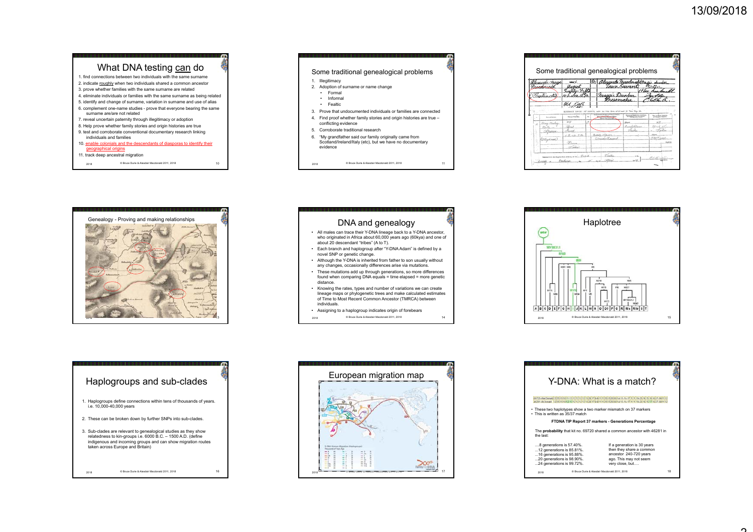

#### 11. track deep ancestral migration

© Bruce Durie & Alasdair Macdonald 2011, 2018 2018 <sup>10</sup>



|    | loraxdu-Purat            | 100.5<br>Quaust                   | りか | <u>Alexando Inaedona</u>                                                | tain Suvant                   | hundar                                 |
|----|--------------------------|-----------------------------------|----|-------------------------------------------------------------------------|-------------------------------|----------------------------------------|
|    | raitir cti)              | Old. J                            |    | maggie Dunku.<br>Bussmaku                                               |                               |                                        |
|    |                          | <b>KYTRACT</b>                    |    | 32272, under the 320. Sect. of 17 and 18 Viet. Oap. 80.                 |                               |                                        |
|    | <b>Subject Service</b>   | minus Van Tex                     | 4n | on, Automo, call Rach or Fishert L. & Rallas<br><b>Moon Fair of the</b> | Martin Chinese                |                                        |
| 3ź | <b>Disco Bacha</b><br>mu | 100<br>(Wenist<br>Presid          | a, |                                                                         | (Fax)<br><b>Constitutions</b> | Bitmed<br><b><i>Fighter</i></b><br>is. |
|    | Of flowKingth            | $K, \alpha, \alpha, \beta, \beta$ |    | Banda Mauret<br>Denis di el Bacando                                     |                               | <b>DRI Cand</b>                        |



#### DNA and genealogy

• All males can trace their Y-DNA lineage back to a Y-DNA ancestor, who originated in Africa about 60,000 years ago (60kya) and one of about 20 descendant "tribes" (A to T).

© Bruce Durie & Alasdair Macdonald 2011, 2018 2018 <sup>11</sup>

- Each branch and haplogroup after "Y-DNA Adam" is defined by a novel SNP or genetic change.
- Although the Y-DNA is inherited from father to son usually without any changes, occasionally differences arise via mutations.
- These mutations add up through generations, so more differences
- found when comparing DNA equals = time elapsed = more genetic distance.
- Knowing the rates, types and number of variations we can create lineage maps or phylogenetic trees and make calculated estimates of Time to Most Recent Common Ancestor (TMRCA) between individuals.
- Assigning to a haplogroup indicates origin of forebears
- © Bruce Durie & Alasdair Macdonald 2011, 2018 2018 <sup>14</sup>



# Haplogroups and sub-clades 1. Haplogroups define connections within tens of thousands of years. i.e. 10,000-40,000 years 2. These can be broken down by further SNPs into sub-clades. 3. Sub-clades are relevant to genealogical studies as they show relatedness to kin-groups i.e. 6000 B.C. – 1500 A.D. (define

indigenous and incoming groups and can show migration routes taken across Europe and Britain)

© Bruce Durie & Alasdair Macdonald 2011, 2018 2018 <sup>16</sup>

European migration map шщ  $\sum_{\text{DHA}}$  $\frac{1}{2}$  ,  $\frac{1}{2}$  ,  $\frac{1}{2}$  ,  $\frac{1}{2}$  ,  $\frac{1}{2}$  ,  $\frac{1}{2}$  ,  $\frac{1}{2}$  ,  $\frac{1}{2}$  ,  $\frac{1}{2}$  ,  $\frac{1}{2}$  ,  $\frac{1}{2}$  ,  $\frac{1}{2}$  ,  $\frac{1}{2}$  ,  $\frac{1}{2}$  ,  $\frac{1}{2}$  ,  $\frac{1}{2}$  ,  $\frac{1}{2}$  ,  $\frac{1}{2}$  ,  $\frac{1$ © Bruce Durie & Alasdair Macdonald 2011, 20182018 **The Company of the Company of Company of Company of Company of Company and Company of Company of Company of Company of Company of Company of Company of Company of Company of Company of Company of Company of Company o** 

|                                                                                    | Y-DNA: What is a match?                                                           |    |
|------------------------------------------------------------------------------------|-----------------------------------------------------------------------------------|----|
|                                                                                    |                                                                                   |    |
| . This is written as 35/37 match                                                   | • These two haplotypes show a two marker mismatch on 37 markers                   |    |
|                                                                                    | FTDNA TIP Report 37 markers - Generations Percentage                              |    |
| the last:                                                                          | The probability that kit no. 69720 shared a common ancestor with 46281 in         |    |
| 8 generations is 57.40%.<br>12 generations is 85.81%.<br>16 generations is 95.88%. | If a generation is 30 years<br>then they share a common<br>ancestor 240-720 years |    |
| 20 generations is 98.90%.<br>24 generations is 99.72%.                             | ago. This may not seem<br>very close, but                                         |    |
| 2018                                                                               | C Bruce Durie & Alasdair Macdonald 2011. 2018                                     | 18 |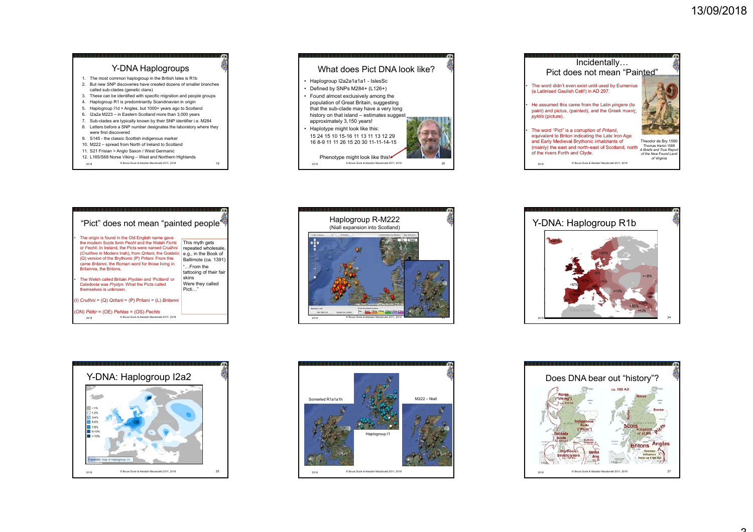





| "Pict" does not mean "painted people"                                                                                                                                                                                                                                                                                                                         |                                                                                                                               |
|---------------------------------------------------------------------------------------------------------------------------------------------------------------------------------------------------------------------------------------------------------------------------------------------------------------------------------------------------------------|-------------------------------------------------------------------------------------------------------------------------------|
| The origin is found in the Old English name gave<br>the modern Scots form Pecht and the Welsh Fichti<br>or Fechti, In Ireland, the Picts were named Cruithni<br>(Cruithne in Modern Irish), from Qritani, the Goidelic<br>(Q) version of the Brythonic (P) Pritani. From this<br>came Britanni, the Roman word for those living in<br>Britannia, the Britons. | This myth gets<br>repeated wholesale,<br>e.g., in the Book of<br>Ballimote (ca. 1391)<br>"From the<br>tattooing of their fair |
| The Welsh called Britain Prydain and 'Pictland' or<br>Caledonia was Prydyn. What the Picts called<br>themselves is unknown.                                                                                                                                                                                                                                   | skins<br>Were they called<br>Picti"                                                                                           |
| (I) Cruthni = (Q) Qritani = (P) Pritani = (L) Britanni                                                                                                                                                                                                                                                                                                        |                                                                                                                               |
| (ON) Péttir = (OE) Pehtas = (OS) Pechts<br>C Bruce Durie & Alasdair Macdonald 2011, 2018<br>2018                                                                                                                                                                                                                                                              |                                                                                                                               |











## 3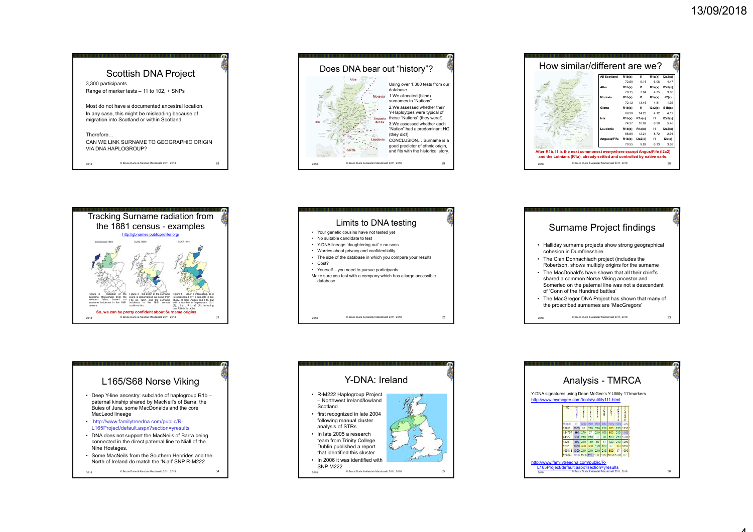4















© Bruce Durie & Alasdair Macdonald 2011, 2018 2018 <sup>34</sup>



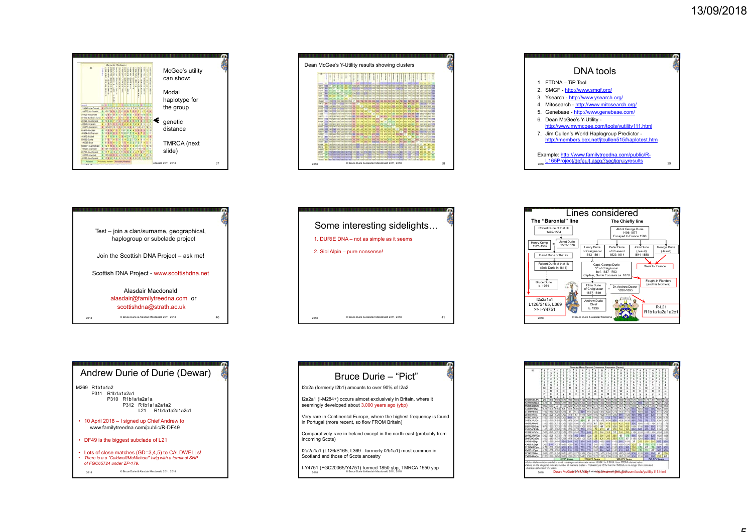













© Bruce Durie & Alasdair Macdonald 2011, 2018 20182018

### Bruce Durie – "Pict"

I2a2a (formerly I2b1) amounts to over 90% of I2a2

I2a2a1 (I-M284+) occurs almost exclusively in Britain, where it seemingly developed about 3,000 years ago (ybp)

Very rare in Continental Europe, where the highest frequency is found in Portugal (more recent, so flow FROM Britain)

Comparatively rare in Ireland except in the north-east (probably from incoming Scots)

I2a2a1a1 (L126/S165, L369 - formerly I2b1a1) most common in Scotland and those of Scots ancestry

C Bruce Durie Alaston Durie Alaston Durie Alaston Durie Alaston Durie Alaston Durie Alaston Durie Alaston Durie & Alaston Durie & Alaston Durie & Alaston Durie & Alaston Durie & Alaston Durie & Alaston Durie & Alaston Dur on to Bruce Durie & Alasdair Macdonald 2011, 2013.  $\frac{1}{2018}$